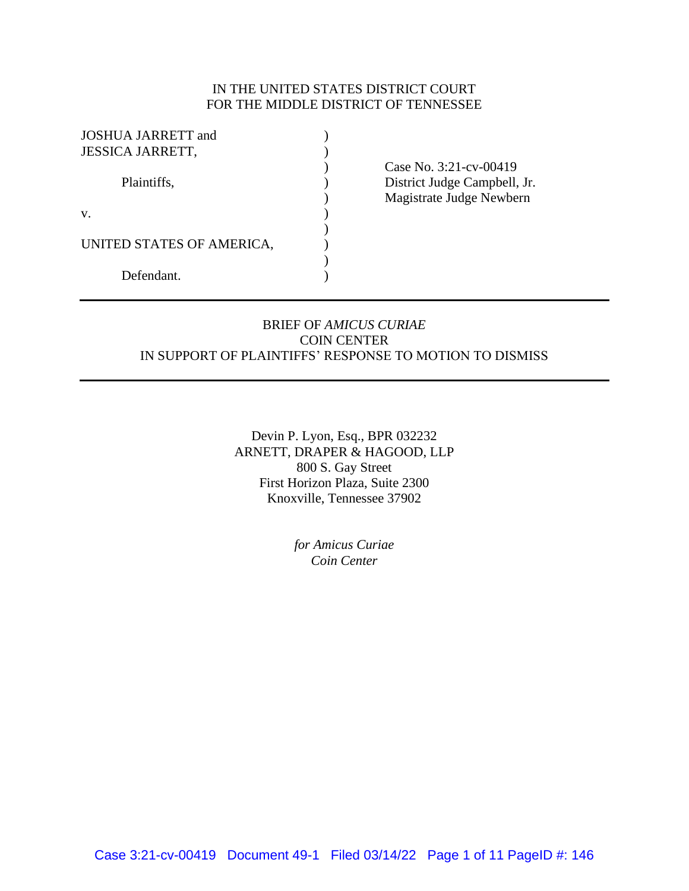## IN THE UNITED STATES DISTRICT COURT FOR THE MIDDLE DISTRICT OF TENNESSEE

| <b>JOSHUA JARRETT</b> and |  |
|---------------------------|--|
| <b>JESSICA JARRETT,</b>   |  |
|                           |  |
| Plaintiffs,               |  |
|                           |  |
| $V_{-}$                   |  |
|                           |  |
| UNITED STATES OF AMERICA, |  |
|                           |  |
| Defendant.                |  |
|                           |  |

) Case No. 3:21-cv-00419 District Judge Campbell, Jr. ) Magistrate Judge Newbern

## BRIEF OF *AMICUS CURIAE* COIN CENTER IN SUPPORT OF PLAINTIFFS' RESPONSE TO MOTION TO DISMISS

Devin P. Lyon, Esq., BPR 032232 ARNETT, DRAPER & HAGOOD, LLP 800 S. Gay Street First Horizon Plaza, Suite 2300 Knoxville, Tennessee 37902

> *for Amicus Curiae Coin Center*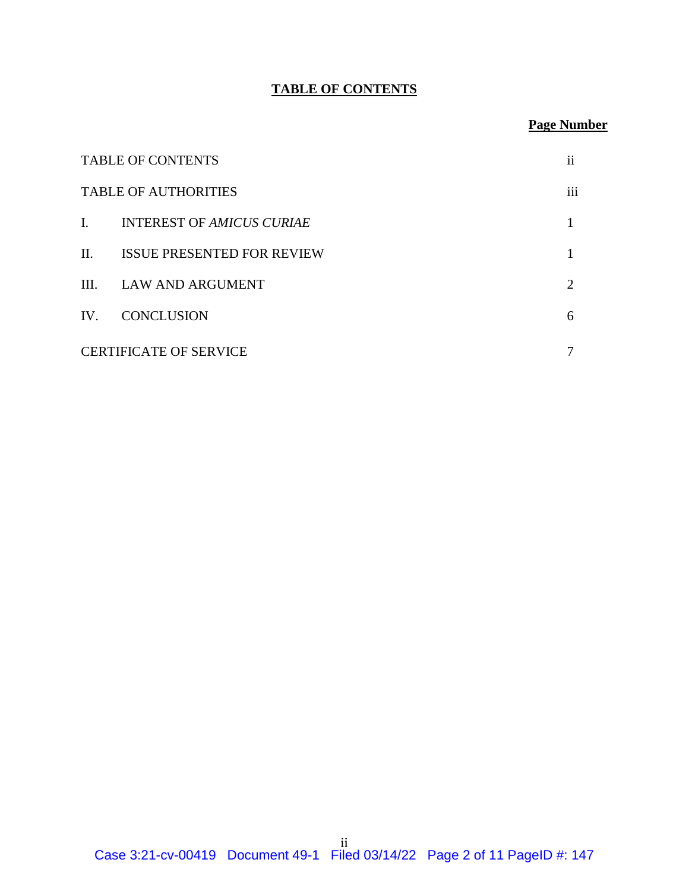# **TABLE OF CONTENTS**

# **Page Number**

| <b>TABLE OF CONTENTS</b>      |                                   | $\mathbf{ii}$   |
|-------------------------------|-----------------------------------|-----------------|
|                               | <b>TABLE OF AUTHORITIES</b>       | $\cdots$<br>111 |
| Ι.                            | <b>INTEREST OF AMICUS CURIAE</b>  |                 |
| $\mathbf{I}$                  | <b>ISSUE PRESENTED FOR REVIEW</b> |                 |
| III.                          | <b>LAW AND ARGUMENT</b>           | $\overline{2}$  |
| IV.                           | <b>CONCLUSION</b>                 | 6               |
| <b>CERTIFICATE OF SERVICE</b> |                                   |                 |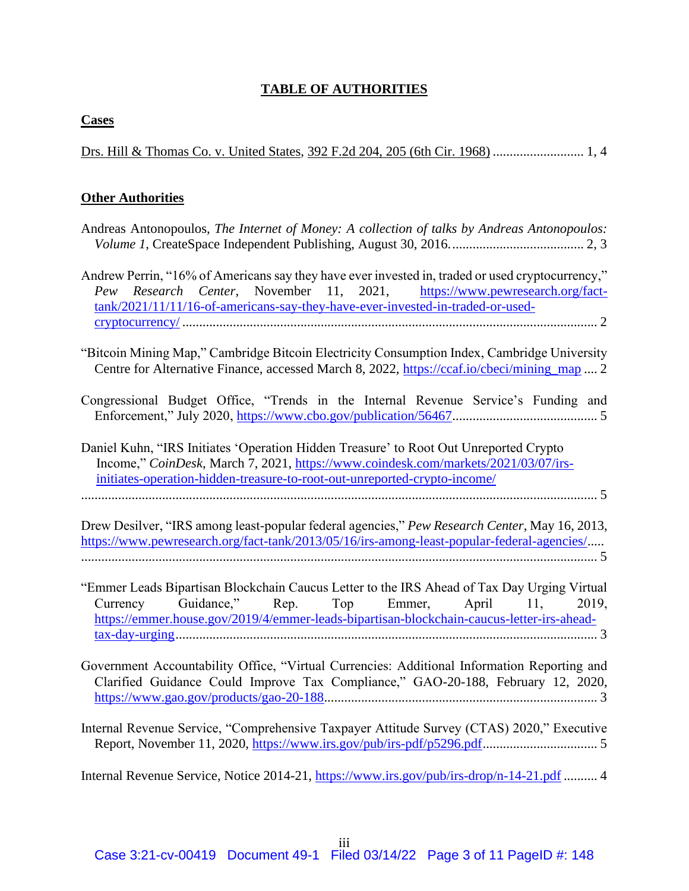## **TABLE OF AUTHORITIES**

### **Cases**

Drs. Hill & Thomas Co. v. United States, 392 F.2d 204, 205 (6th Cir. 1968) ........................... 1, 4

## **Other Authorities**

| Andreas Antonopoulos, The Internet of Money: A collection of talks by Andreas Antonopoulos:      |  |  |  |  |  |  |  |
|--------------------------------------------------------------------------------------------------|--|--|--|--|--|--|--|
|                                                                                                  |  |  |  |  |  |  |  |
|                                                                                                  |  |  |  |  |  |  |  |
| Andrew Perrin, "16% of Americans say they have ever invested in, traded or used cryptocurrency," |  |  |  |  |  |  |  |
| Pew Research Center, November 11, 2021, https://www.pewresearch.org/fact-                        |  |  |  |  |  |  |  |
| $\text{tank}/2021/11/11/16$ -of-americans-say-they-have-ever-invested-in-traded-or-used-         |  |  |  |  |  |  |  |
|                                                                                                  |  |  |  |  |  |  |  |

"Bitcoin Mining Map," Cambridge Bitcoin Electricity Consumption Index, Cambridge University Centre for Alternative Finance, accessed March 8, 2022, https://ccaf.io/cbeci/mining\_map .... 2

- Congressional Budget Office, "Trends in the Internal Revenue Service's Funding and Enforcement," July 2020, https://www.cbo.gov/publication/56467........................................... 5
- Daniel Kuhn, "IRS Initiates 'Operation Hidden Treasure' to Root Out Unreported Crypto Income," *CoinDesk*, March 7, 2021, https://www.coindesk.com/markets/2021/03/07/irsinitiates-operation-hidden-treasure-to-root-out-unreported-crypto-income/ ......................................................................................................................................................... 5

Drew Desilver, "IRS among least-popular federal agencies," *Pew Research Center*, May 16, 2013, https://www.pewresearch.org/fact-tank/2013/05/16/irs-among-least-popular-federal-agencies/..... ......................................................................................................................................................... 5

- "Emmer Leads Bipartisan Blockchain Caucus Letter to the IRS Ahead of Tax Day Urging Virtual Currency Guidance," Rep. Top Emmer, April 11, 2019, https://emmer.house.gov/2019/4/emmer-leads-bipartisan-blockchain-caucus-letter-irs-aheadtax-day-urging............................................................................................................................. 3
- Government Accountability Office, "Virtual Currencies: Additional Information Reporting and Clarified Guidance Could Improve Tax Compliance," GAO-20-188, February 12, 2020, https://www.gao.gov/products/gao-20-188................................................................................. 3
- Internal Revenue Service, "Comprehensive Taxpayer Attitude Survey (CTAS) 2020," Executive Report, November 11, 2020, https://www.irs.gov/pub/irs-pdf/p5296.pdf.................................. 5

Internal Revenue Service, Notice 2014-21, https://www.irs.gov/pub/irs-drop/n-14-21.pdf .......... 4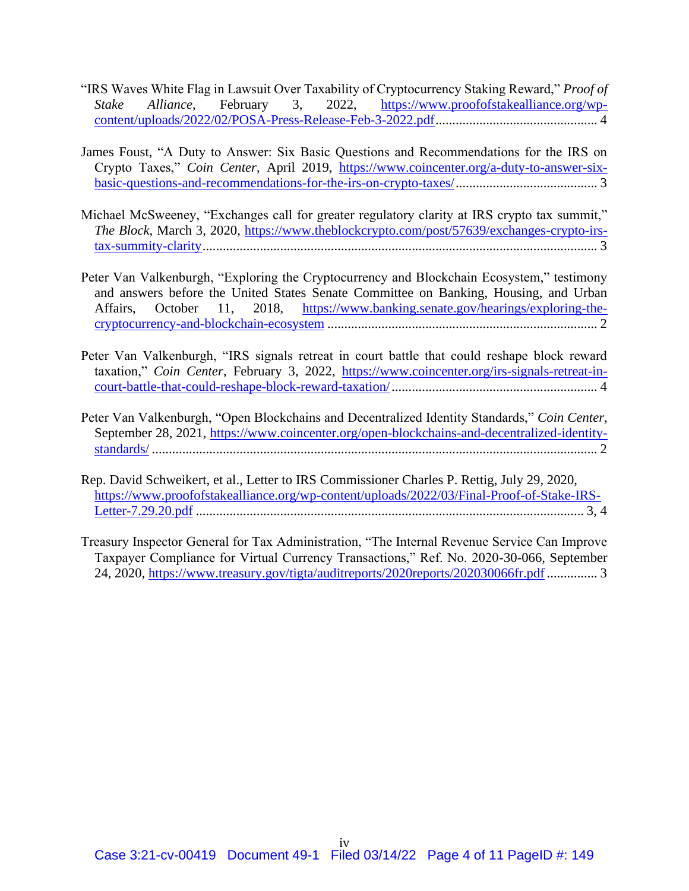- "IRS Waves White Flag in Lawsuit Over Taxability of Cryptocurrency Staking Reward," *Proof of Stake Alliance*, February 3, 2022, https://www.proofofstakealliance.org/wpcontent/uploads/2022/02/POSA-Press-Release-Feb-3-2022.pdf................................................ 4
- James Foust, "A Duty to Answer: Six Basic Questions and Recommendations for the IRS on Crypto Taxes," *Coin Center*, April 2019, https://www.coincenter.org/a-duty-to-answer-sixbasic-questions-and-recommendations-for-the-irs-on-crypto-taxes/.......................................... 3
- Michael McSweeney, "Exchanges call for greater regulatory clarity at IRS crypto tax summit," *The Block*, March 3, 2020, https://www.theblockcrypto.com/post/57639/exchanges-crypto-irstax-summity-clarity..................................................................................................................... 3
- Peter Van Valkenburgh, "Exploring the Cryptocurrency and Blockchain Ecosystem," testimony and answers before the United States Senate Committee on Banking, Housing, and Urban Affairs, October 11, 2018, https://www.banking.senate.gov/hearings/exploring-thecryptocurrency-and-blockchain-ecosystem ................................................................................ 2
- Peter Van Valkenburgh, "IRS signals retreat in court battle that could reshape block reward taxation," *Coin Center*, February 3, 2022, https://www.coincenter.org/irs-signals-retreat-incourt-battle-that-could-reshape-block-reward-taxation/............................................................. 4
- Peter Van Valkenburgh, "Open Blockchains and Decentralized Identity Standards," *Coin Center*, September 28, 2021, https://www.coincenter.org/open-blockchains-and-decentralized-identitystandards/ .................................................................................................................................... 2
- Rep. David Schweikert, et al., Letter to IRS Commissioner Charles P. Rettig, July 29, 2020, https://www.proofofstakealliance.org/wp-content/uploads/2022/03/Final-Proof-of-Stake-IRS-Letter-7.29.20.pdf ................................................................................................................... 3, 4
- Treasury Inspector General for Tax Administration, "The Internal Revenue Service Can Improve Taxpayer Compliance for Virtual Currency Transactions," Ref. No. 2020-30-066, September 24, 2020, https://www.treasury.gov/tigta/auditreports/2020reports/202030066fr.pdf............... 3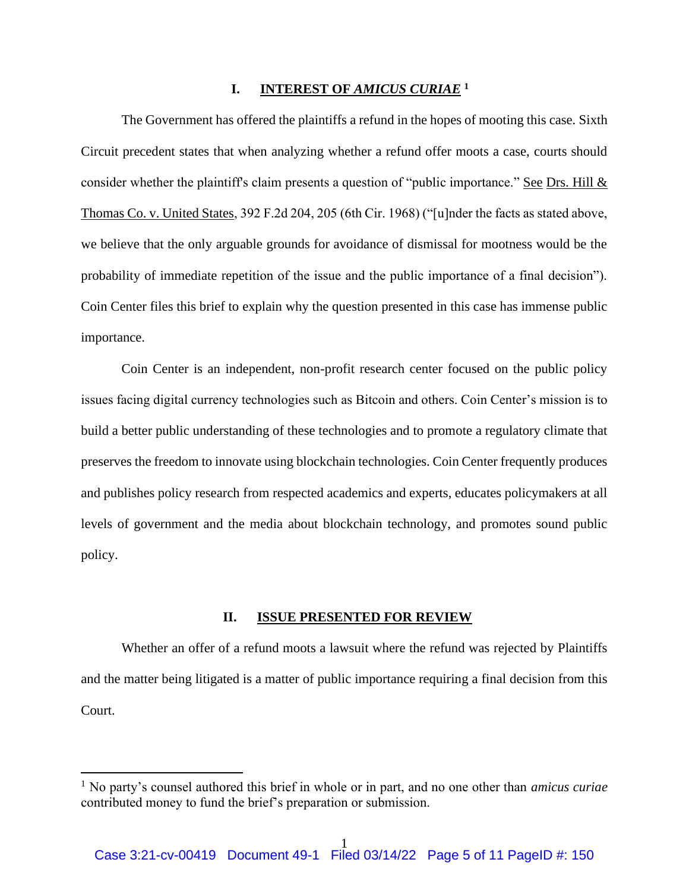### **I. INTEREST OF** *AMICUS CURIAE* **<sup>1</sup>**

The Government has offered the plaintiffs a refund in the hopes of mooting this case. Sixth Circuit precedent states that when analyzing whether a refund offer moots a case, courts should consider whether the plaintiff's claim presents a question of "public importance." See Drs. Hill & Thomas Co. v. United States, 392 F.2d 204, 205 (6th Cir. 1968) ("[u]nder the facts as stated above, we believe that the only arguable grounds for avoidance of dismissal for mootness would be the probability of immediate repetition of the issue and the public importance of a final decision"). Coin Center files this brief to explain why the question presented in this case has immense public importance.

Coin Center is an independent, non-profit research center focused on the public policy issues facing digital currency technologies such as Bitcoin and others. Coin Center's mission is to build a better public understanding of these technologies and to promote a regulatory climate that preserves the freedom to innovate using blockchain technologies. Coin Center frequently produces and publishes policy research from respected academics and experts, educates policymakers at all levels of government and the media about blockchain technology, and promotes sound public policy.

#### **II. ISSUE PRESENTED FOR REVIEW**

Whether an offer of a refund moots a lawsuit where the refund was rejected by Plaintiffs and the matter being litigated is a matter of public importance requiring a final decision from this Court.

<sup>1</sup> No party's counsel authored this brief in whole or in part, and no one other than *amicus curiae* contributed money to fund the brief's preparation or submission.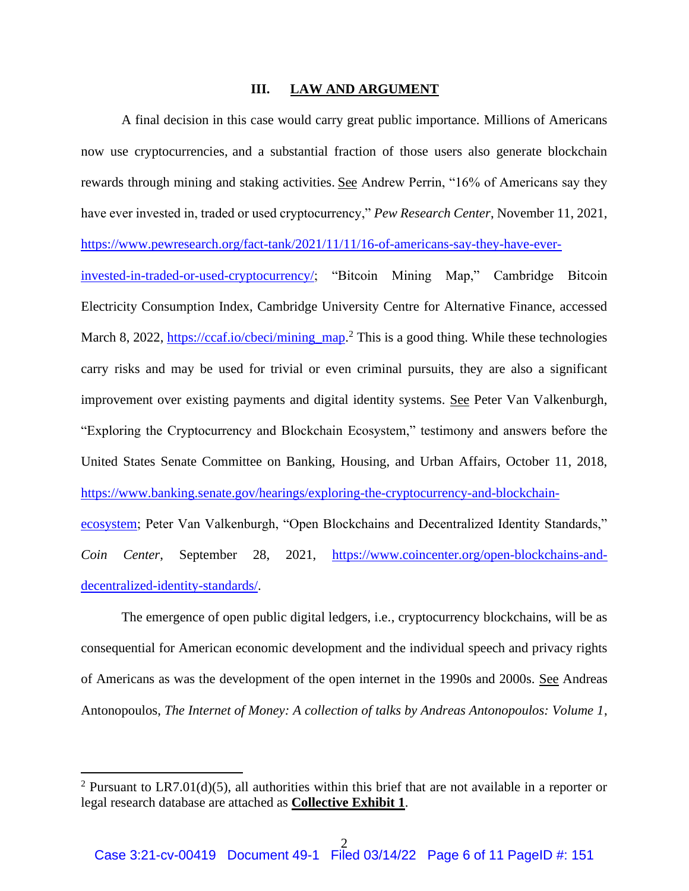#### **III. LAW AND ARGUMENT**

A final decision in this case would carry great public importance. Millions of Americans now use cryptocurrencies, and a substantial fraction of those users also generate blockchain rewards through mining and staking activities. See Andrew Perrin, "16% of Americans say they have ever invested in, traded or used cryptocurrency," *Pew Research Center*, November 11, 2021, https://www.pewresearch.org/fact-tank/2021/11/11/16-of-americans-say-they-have-everinvested-in-traded-or-used-cryptocurrency/; "Bitcoin Mining Map," Cambridge Bitcoin Electricity Consumption Index, Cambridge University Centre for Alternative Finance, accessed March 8, 2022, https://ccaf.io/cbeci/mining\_map.<sup>2</sup> This is a good thing. While these technologies carry risks and may be used for trivial or even criminal pursuits, they are also a significant improvement over existing payments and digital identity systems. See Peter Van Valkenburgh, "Exploring the Cryptocurrency and Blockchain Ecosystem," testimony and answers before the United States Senate Committee on Banking, Housing, and Urban Affairs, October 11, 2018, https://www.banking.senate.gov/hearings/exploring-the-cryptocurrency-and-blockchainecosystem; Peter Van Valkenburgh, "Open Blockchains and Decentralized Identity Standards," *Coin Center*, September 28, 2021, https://www.coincenter.org/open-blockchains-anddecentralized-identity-standards/.

The emergence of open public digital ledgers, i.e., cryptocurrency blockchains, will be as consequential for American economic development and the individual speech and privacy rights of Americans as was the development of the open internet in the 1990s and 2000s. See Andreas Antonopoulos, *The Internet of Money: A collection of talks by Andreas Antonopoulos: Volume 1*,

<sup>&</sup>lt;sup>2</sup> Pursuant to LR7.01(d)(5), all authorities within this brief that are not available in a reporter or legal research database are attached as **Collective Exhibit 1**.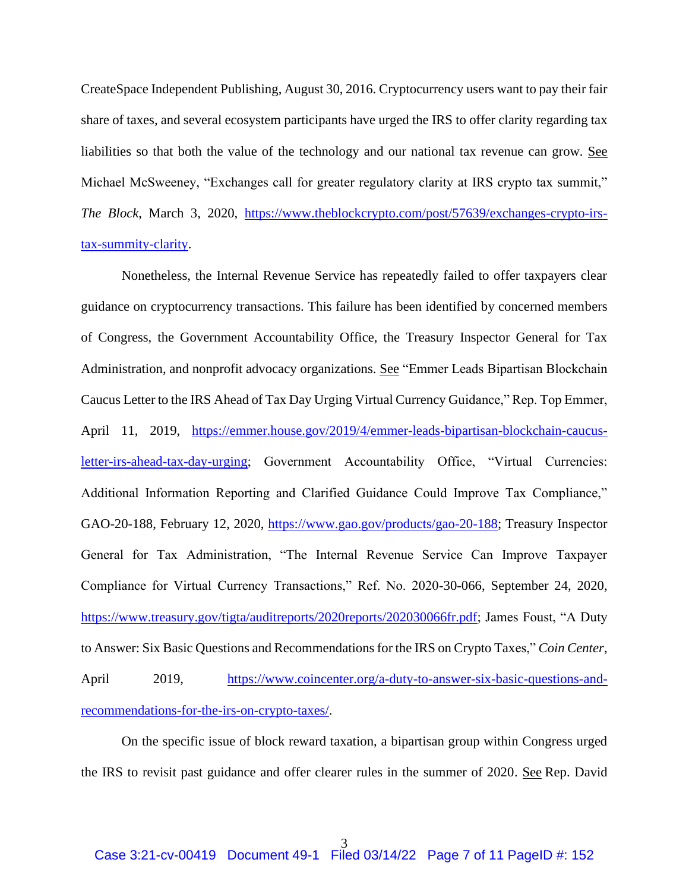CreateSpace Independent Publishing, August 30, 2016. Cryptocurrency users want to pay their fair share of taxes, and several ecosystem participants have urged the IRS to offer clarity regarding tax liabilities so that both the value of the technology and our national tax revenue can grow. See Michael McSweeney, "Exchanges call for greater regulatory clarity at IRS crypto tax summit," *The Block*, March 3, 2020, https://www.theblockcrypto.com/post/57639/exchanges-crypto-irstax-summity-clarity.

Nonetheless, the Internal Revenue Service has repeatedly failed to offer taxpayers clear guidance on cryptocurrency transactions. This failure has been identified by concerned members of Congress, the Government Accountability Office, the Treasury Inspector General for Tax Administration, and nonprofit advocacy organizations. See "Emmer Leads Bipartisan Blockchain Caucus Letter to the IRS Ahead of Tax Day Urging Virtual Currency Guidance," Rep. Top Emmer, April 11, 2019, https://emmer.house.gov/2019/4/emmer-leads-bipartisan-blockchain-caucusletter-irs-ahead-tax-day-urging; Government Accountability Office, "Virtual Currencies: Additional Information Reporting and Clarified Guidance Could Improve Tax Compliance," GAO-20-188, February 12, 2020, https://www.gao.gov/products/gao-20-188; Treasury Inspector General for Tax Administration, "The Internal Revenue Service Can Improve Taxpayer Compliance for Virtual Currency Transactions," Ref. No. 2020-30-066, September 24, 2020, https://www.treasury.gov/tigta/auditreports/2020reports/202030066fr.pdf; James Foust, "A Duty to Answer: Six Basic Questions and Recommendations for the IRS on Crypto Taxes," *Coin Center*, April 2019, https://www.coincenter.org/a-duty-to-answer-six-basic-questions-andrecommendations-for-the-irs-on-crypto-taxes/.

On the specific issue of block reward taxation, a bipartisan group within Congress urged the IRS to revisit past guidance and offer clearer rules in the summer of 2020. See Rep. David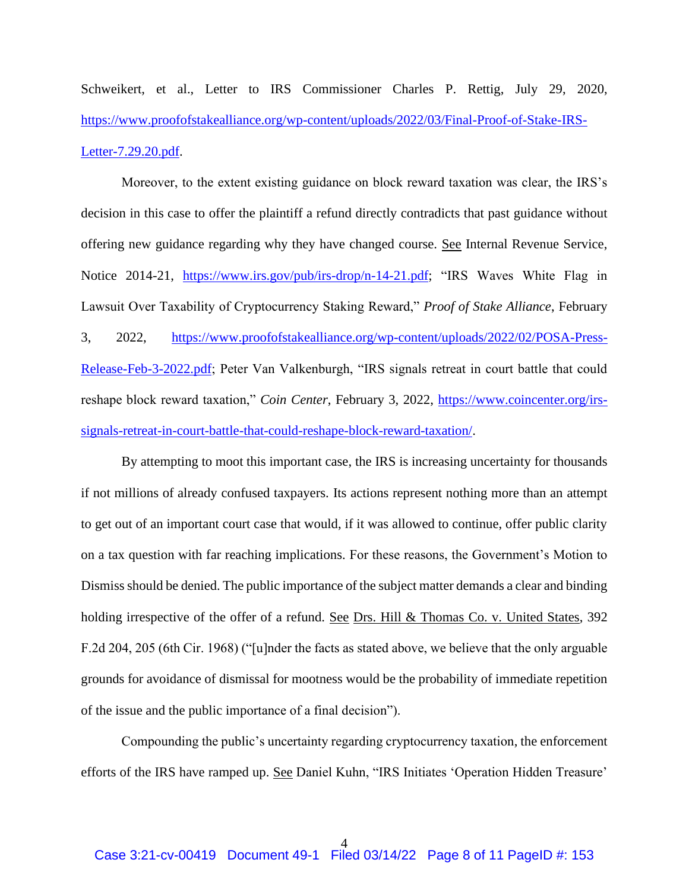Schweikert, et al., Letter to IRS Commissioner Charles P. Rettig, July 29, 2020, https://www.proofofstakealliance.org/wp-content/uploads/2022/03/Final-Proof-of-Stake-IRS-Letter-7.29.20.pdf.

Moreover, to the extent existing guidance on block reward taxation was clear, the IRS's decision in this case to offer the plaintiff a refund directly contradicts that past guidance without offering new guidance regarding why they have changed course. See Internal Revenue Service, Notice 2014-21, https://www.irs.gov/pub/irs-drop/n-14-21.pdf; "IRS Waves White Flag in Lawsuit Over Taxability of Cryptocurrency Staking Reward," *Proof of Stake Alliance*, February 3, 2022, https://www.proofofstakealliance.org/wp-content/uploads/2022/02/POSA-Press-Release-Feb-3-2022.pdf; Peter Van Valkenburgh, "IRS signals retreat in court battle that could reshape block reward taxation," *Coin Center*, February 3, 2022, https://www.coincenter.org/irssignals-retreat-in-court-battle-that-could-reshape-block-reward-taxation/.

By attempting to moot this important case, the IRS is increasing uncertainty for thousands if not millions of already confused taxpayers. Its actions represent nothing more than an attempt to get out of an important court case that would, if it was allowed to continue, offer public clarity on a tax question with far reaching implications. For these reasons, the Government's Motion to Dismiss should be denied. The public importance of the subject matter demands a clear and binding holding irrespective of the offer of a refund. See Drs. Hill & Thomas Co. v. United States, 392 F.2d 204, 205 (6th Cir. 1968) ("[u]nder the facts as stated above, we believe that the only arguable grounds for avoidance of dismissal for mootness would be the probability of immediate repetition of the issue and the public importance of a final decision").

Compounding the public's uncertainty regarding cryptocurrency taxation, the enforcement efforts of the IRS have ramped up. See Daniel Kuhn, "IRS Initiates 'Operation Hidden Treasure'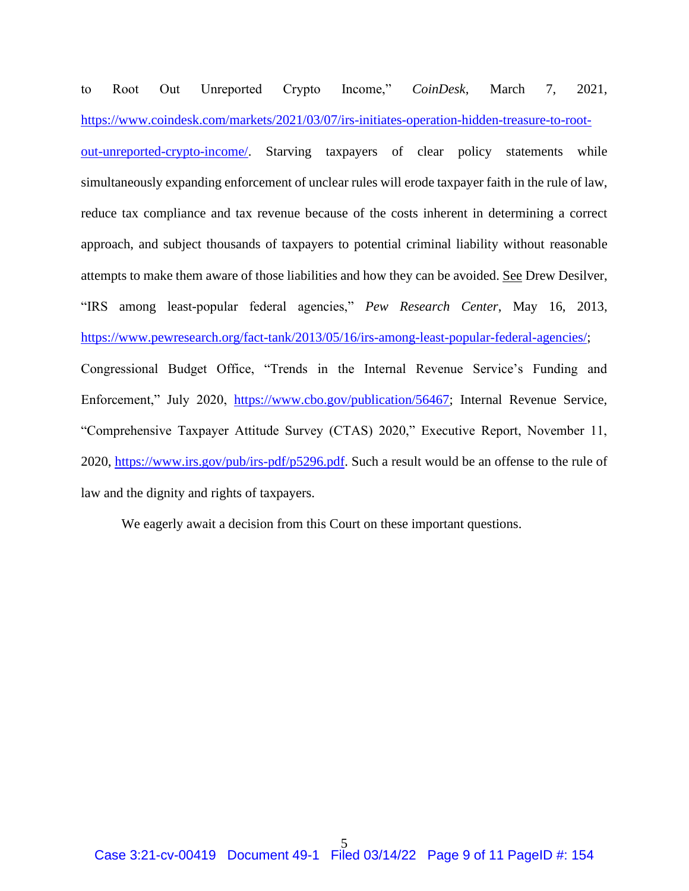to Root Out Unreported Crypto Income," *CoinDesk*, March 7, 2021, https://www.coindesk.com/markets/2021/03/07/irs-initiates-operation-hidden-treasure-to-root-

out-unreported-crypto-income/. Starving taxpayers of clear policy statements while simultaneously expanding enforcement of unclear rules will erode taxpayer faith in the rule of law, reduce tax compliance and tax revenue because of the costs inherent in determining a correct approach, and subject thousands of taxpayers to potential criminal liability without reasonable attempts to make them aware of those liabilities and how they can be avoided. See Drew Desilver, "IRS among least-popular federal agencies," *Pew Research Center*, May 16, 2013, https://www.pewresearch.org/fact-tank/2013/05/16/irs-among-least-popular-federal-agencies/; Congressional Budget Office, "Trends in the Internal Revenue Service's Funding and Enforcement," July 2020, https://www.cbo.gov/publication/56467; Internal Revenue Service, "Comprehensive Taxpayer Attitude Survey (CTAS) 2020," Executive Report, November 11, 2020, https://www.irs.gov/pub/irs-pdf/p5296.pdf. Such a result would be an offense to the rule of law and the dignity and rights of taxpayers.

We eagerly await a decision from this Court on these important questions.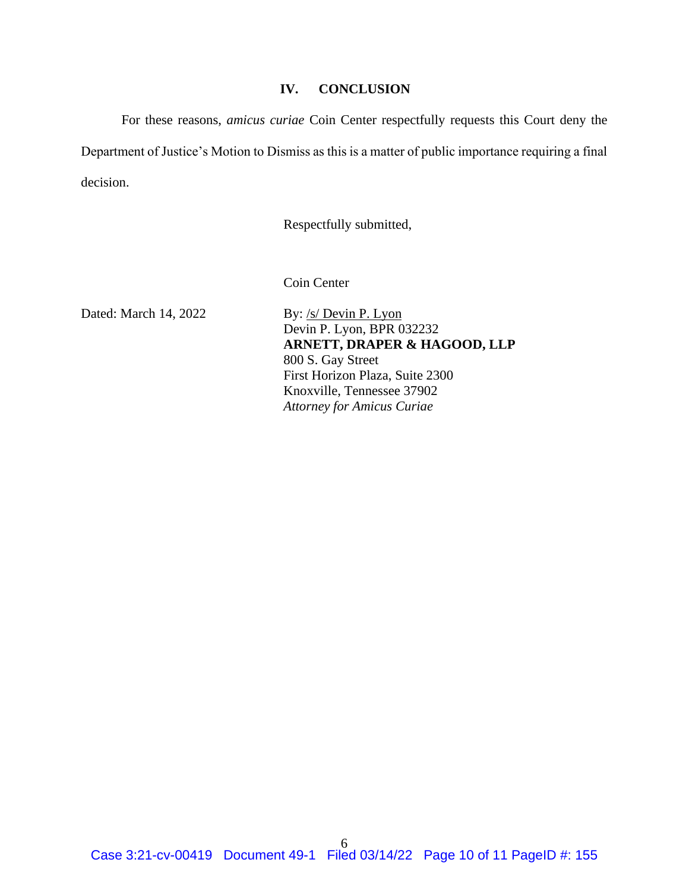### **IV. CONCLUSION**

For these reasons, *amicus curiae* Coin Center respectfully requests this Court deny the Department of Justice's Motion to Dismiss as this is a matter of public importance requiring a final decision.

Respectfully submitted,

Coin Center

Dated: March 14, 2022 By: /s/ Devin P. Lyon Devin P. Lyon, BPR 032232 **ARNETT, DRAPER & HAGOOD, LLP** 800 S. Gay Street First Horizon Plaza, Suite 2300 Knoxville, Tennessee 37902 *Attorney for Amicus Curiae*